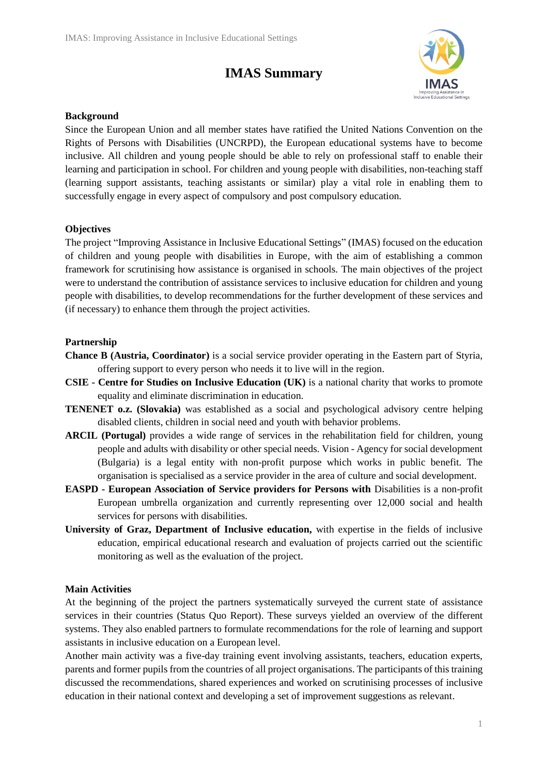# **IMAS Summary**



### **Background**

Since the European Union and all member states have ratified the United Nations Convention on the Rights of Persons with Disabilities (UNCRPD), the European educational systems have to become inclusive. All children and young people should be able to rely on professional staff to enable their learning and participation in school. For children and young people with disabilities, non-teaching staff (learning support assistants, teaching assistants or similar) play a vital role in enabling them to successfully engage in every aspect of compulsory and post compulsory education.

## **Objectives**

The project "Improving Assistance in Inclusive Educational Settings" (IMAS) focused on the education of children and young people with disabilities in Europe, with the aim of establishing a common framework for scrutinising how assistance is organised in schools. The main objectives of the project were to understand the contribution of assistance services to inclusive education for children and young people with disabilities, to develop recommendations for the further development of these services and (if necessary) to enhance them through the project activities.

#### **Partnership**

- **Chance B (Austria, Coordinator)** is a social service provider operating in the Eastern part of Styria, offering support to every person who needs it to live will in the region.
- **CSIE - Centre for Studies on Inclusive Education (UK)** is a national charity that works to promote equality and eliminate discrimination in education.
- **TENENET o.z. (Slovakia)** was established as a social and psychological advisory centre helping disabled clients, children in social need and youth with behavior problems.
- **ARCIL (Portugal)** provides a wide range of services in the rehabilitation field for children, young people and adults with disability or other special needs. Vision - Agency for social development (Bulgaria) is a legal entity with non-profit purpose which works in public benefit. The organisation is specialised as a service provider in the area of culture and social development.
- **EASPD - European Association of Service providers for Persons with** Disabilities is a non-profit European umbrella organization and currently representing over 12,000 social and health services for persons with disabilities.
- **University of Graz, Department of Inclusive education,** with expertise in the fields of inclusive education, empirical educational research and evaluation of projects carried out the scientific monitoring as well as the evaluation of the project.

## **Main Activities**

At the beginning of the project the partners systematically surveyed the current state of assistance services in their countries (Status Quo Report). These surveys yielded an overview of the different systems. They also enabled partners to formulate recommendations for the role of learning and support assistants in inclusive education on a European level.

Another main activity was a five-day training event involving assistants, teachers, education experts, parents and former pupils from the countries of all project organisations. The participants of this training discussed the recommendations, shared experiences and worked on scrutinising processes of inclusive education in their national context and developing a set of improvement suggestions as relevant.